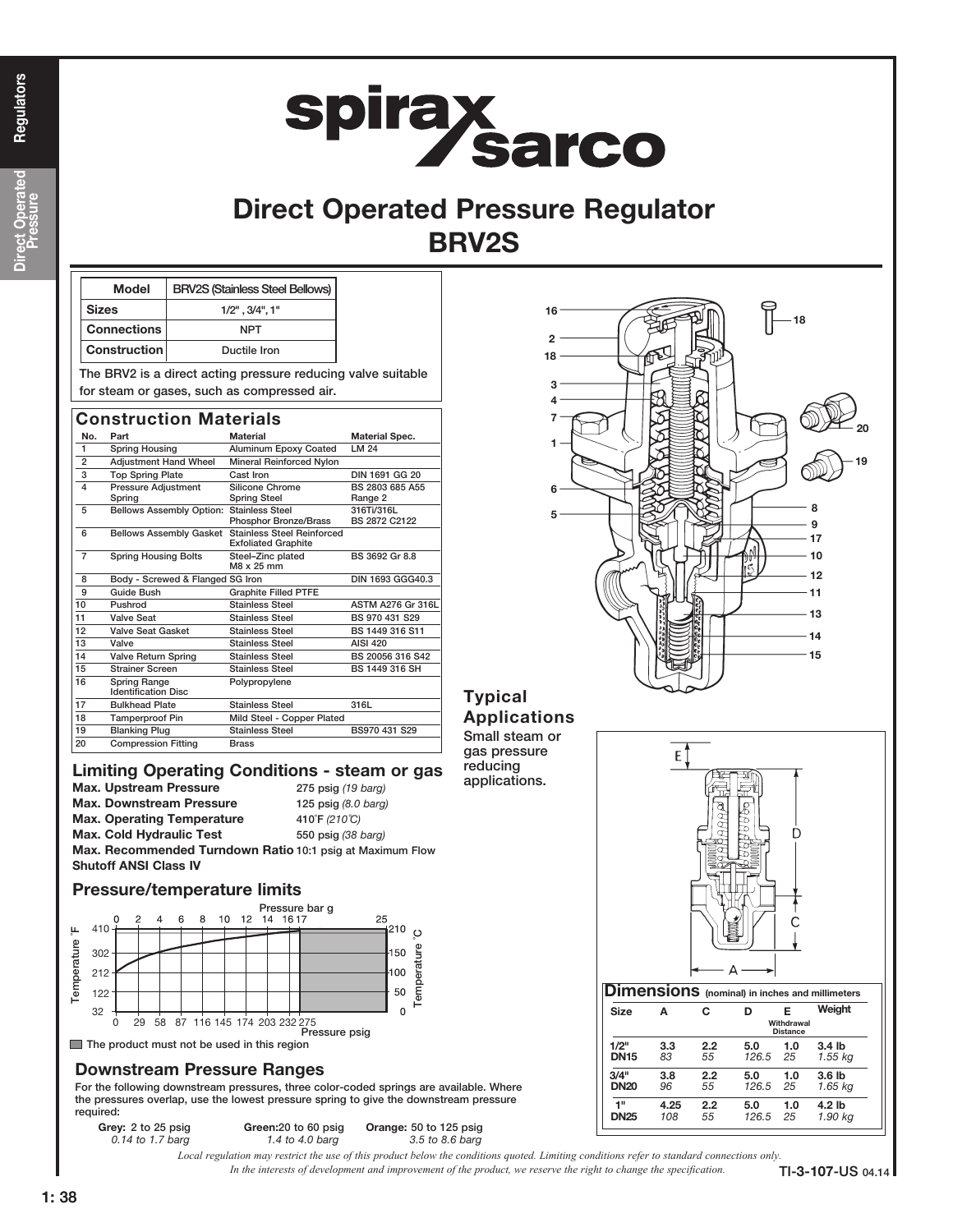# **spirax<br>Sarco**

### Direct Operated Pressure Regulator BRV2S

| <b>Model</b>       | <b>BRV2S (Stainless Steel Bellows)</b>                                                                      |  |
|--------------------|-------------------------------------------------------------------------------------------------------------|--|
| <b>Sizes</b>       | $1/2$ ", $3/4$ ", $1$ "                                                                                     |  |
| <b>Connections</b> | NPT                                                                                                         |  |
| Construction       | Ductile Iron                                                                                                |  |
|                    | The BRV2 is a direct acting pressure reducing valve suitable<br>for steam or gases, such as compressed air. |  |

No. Part Material Material Material Spec. 1 Spring Housing Aluminum Epoxy Coated LM 24 2 Adjustment Hand Wheel Mineral Reinforced Nylon 3 Top Spring Plate Cast Iron Cast Iron DIN 1691 GG 20 4 Pressure Adjustment Silicone Chrome BS 2803 685 A55 Spring Spring Steel Range 2 5 Bellows Assembly Option: Stainless Steel 316Ti/316L Phosphor Bronze/Brass 6 Bellows Assembly Gasket Stainless Steel Reinforced Exfoliated Graphite 7 Spring Housing Bolts Steel–Zinc plated BS 3692 Gr 8.8 M8 x 25 mm 8 Body - Screwed & Flanged SG Iron DIN 1693 GGG40.3 9 Guide Bush Graphite Filled PTFE 10 Pushrod Stainless Steel ASTM A276 Gr 316L 11 Valve Seat Stainless Steel BS 970 431 S29 12 Valve Seat Gasket Stainless Steel BS 1449 316 S11 13 Valve Stainless Steel AISI 420<br>14 Valve Return Spring Stainless Steel BS 20056 316 542 14 Valve Return Spring Stainless Steel 15 Strainer Screen Stainless Steel BS 1449 316 SH 16 Spring Range Polypropylene Identification Disc 17 Bulkhead Plate Stainless Steel 316L 18 Tamperproof Pin Mild Steel - Copper Plated 19 Blanking Plug Stainless Steel BS970 431 S29 20 Compression Fitting Brass Construction Materials

#### Limiting Operating Conditions - steam or gas

Max. Upstream Pressure 275 psig (19 barg) Max. Downstream Pressure125 psig (8.0 barg)

Max. Operating Temperature 410°F (210°C) Max. Cold Hydraulic Test 550 psig (38 barg) Max. Recommended Turndown Ratio 10:1 psig at Maximum Flow Shutoff ANSI Class IV

#### Pressure/temperature limits



#### Downstream Pressure Ranges

For the following downstream pressures, three color-coded springs are available. Where the pressures overlap, use the lowest pressure spring to give the downstream pressure required:

Grey: 2 to 25 psig Green: 20 to 60 psig Orange: 50 to 125 psig



#### Typical Applications

Small steam or gas pressure reducing applications.



| ----        |      |     | Withdrawal<br><b>Distance</b> |     |                   |  |
|-------------|------|-----|-------------------------------|-----|-------------------|--|
| 1/2"        | 3.3  | 2.2 | 5.0                           | 1.0 | 3.4 <sub>lb</sub> |  |
| <b>DN15</b> | 83   | 55  | 126.5                         | 25  | 1.55 kg           |  |
| 3/4"        | 3.8  | 2.2 | 5.0                           | 1.0 | 3.6 <sub>lb</sub> |  |
| <b>DN20</b> | 96   | 55  | 126.5                         | 25  | 1.65 kg           |  |
| 1"          | 4.25 | 2.2 | 5.0                           | 1.0 | 4.2 lb            |  |
| <b>DN25</b> | 108  | 55  | 126.5                         | 25  | 1.90 kg           |  |

0.14 to 1.7 barg 1.4 to 4.0 barg 3.5 to 8.6 barg

*In the interests of development and improvement of the product, we reserve the right to change the specification. Local regulation may restrict the use of this product below the conditions quoted. Limiting conditions refer to standard connections only.*

Regulators

TI-3-107-US 04.14